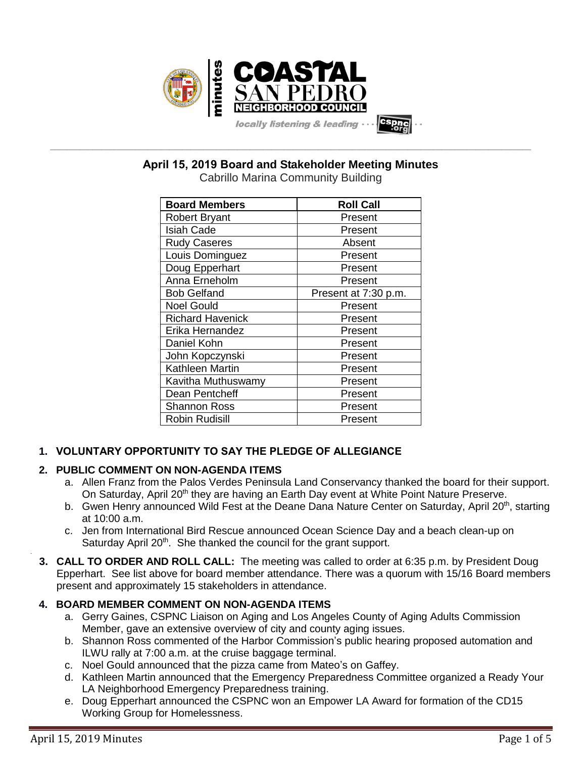

**\_\_\_\_\_\_\_\_\_\_\_\_\_\_\_\_\_\_\_\_\_\_\_\_\_\_\_\_\_\_\_\_\_\_\_\_\_\_\_\_\_\_\_\_\_\_\_\_\_\_\_\_\_\_\_\_\_\_\_\_\_\_\_\_\_\_\_\_\_\_\_\_\_\_\_\_\_\_\_\_\_\_\_\_\_\_\_\_\_\_\_\_\_\_\_\_\_\_\_\_\_\_\_\_\_\_\_\_\_\_\_\_\_ April 15, 2019 Board and Stakeholder Meeting Minutes**

Cabrillo Marina Community Building

| <b>Board Members</b>    | <b>Roll Call</b>     |
|-------------------------|----------------------|
| <b>Robert Bryant</b>    | Present              |
| <b>Isiah Cade</b>       | Present              |
| <b>Rudy Caseres</b>     | Absent               |
| Louis Dominguez         | Present              |
| Doug Epperhart          | Present              |
| Anna Erneholm           | Present              |
| <b>Bob Gelfand</b>      | Present at 7:30 p.m. |
| <b>Noel Gould</b>       | Present              |
| <b>Richard Havenick</b> | Present              |
| Erika Hernandez         | Present              |
| Daniel Kohn             | Present              |
| John Kopczynski         | Present              |
| Kathleen Martin         | Present              |
| Kavitha Muthuswamy      | Present              |
| Dean Pentcheff          | Present              |
| <b>Shannon Ross</b>     | Present              |
| <b>Robin Rudisill</b>   | Present              |

# **1. VOLUNTARY OPPORTUNITY TO SAY THE PLEDGE OF ALLEGIANCE**

# **2. PUBLIC COMMENT ON NON-AGENDA ITEMS**

- a. Allen Franz from the Palos Verdes Peninsula Land Conservancy thanked the board for their support. On Saturday, April 20<sup>th</sup> they are having an Earth Day event at White Point Nature Preserve.
- b. Gwen Henry announced Wild Fest at the Deane Dana Nature Center on Saturday, April 20<sup>th</sup>, starting at 10:00 a.m.
- c. Jen from International Bird Rescue announced Ocean Science Day and a beach clean-up on Saturday April 20<sup>th</sup>. She thanked the council for the grant support.
- **3. CALL TO ORDER AND ROLL CALL:** The meeting was called to order at 6:35 p.m. by President Doug Epperhart. See list above for board member attendance. There was a quorum with 15/16 Board members present and approximately 15 stakeholders in attendance.

# **4. BOARD MEMBER COMMENT ON NON-AGENDA ITEMS**

- a. Gerry Gaines, CSPNC Liaison on Aging and Los Angeles County of Aging Adults Commission Member, gave an extensive overview of city and county aging issues.
- b. Shannon Ross commented of the Harbor Commission's public hearing proposed automation and ILWU rally at 7:00 a.m. at the cruise baggage terminal.
- c. Noel Gould announced that the pizza came from Mateo's on Gaffey.
- d. Kathleen Martin announced that the Emergency Preparedness Committee organized a Ready Your LA Neighborhood Emergency Preparedness training.
- e. Doug Epperhart announced the CSPNC won an Empower LA Award for formation of the CD15 Working Group for Homelessness.

.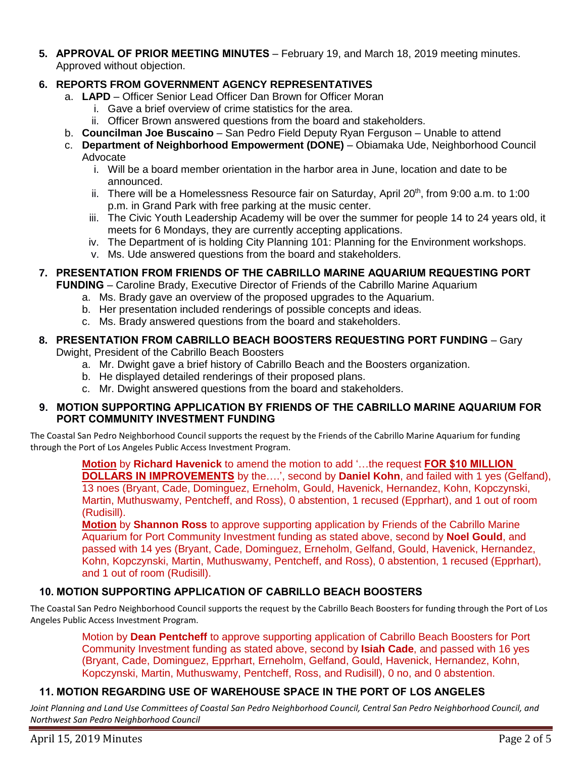**5. APPROVAL OF PRIOR MEETING MINUTES** – February 19, and March 18, 2019 meeting minutes. Approved without objection.

# **6. REPORTS FROM GOVERNMENT AGENCY REPRESENTATIVES**

- a. **LAPD**  Officer Senior Lead Officer Dan Brown for Officer Moran
	- i. Gave a brief overview of crime statistics for the area.
	- ii. Officer Brown answered questions from the board and stakeholders.
- b. **Councilman Joe Buscaino** San Pedro Field Deputy Ryan Ferguson Unable to attend
- c. **Department of Neighborhood Empowerment (DONE)** Obiamaka Ude, Neighborhood Council Advocate
	- i. Will be a board member orientation in the harbor area in June, location and date to be announced.
	- ii. There will be a Homelessness Resource fair on Saturday, April 20<sup>th</sup>, from 9:00 a.m. to 1:00 p.m. in Grand Park with free parking at the music center.
	- iii. The Civic Youth Leadership Academy will be over the summer for people 14 to 24 years old, it meets for 6 Mondays, they are currently accepting applications.
	- iv. The Department of is holding City Planning 101: Planning for the Environment workshops.
	- v. Ms. Ude answered questions from the board and stakeholders.

## **7. PRESENTATION FROM FRIENDS OF THE CABRILLO MARINE AQUARIUM REQUESTING PORT**

**FUNDING** – Caroline Brady, Executive Director of Friends of the Cabrillo Marine Aquarium

- a. Ms. Brady gave an overview of the proposed upgrades to the Aquarium.
- b. Her presentation included renderings of possible concepts and ideas.
- c. Ms. Brady answered questions from the board and stakeholders.

# **8. PRESENTATION FROM CABRILLO BEACH BOOSTERS REQUESTING PORT FUNDING** – Gary

Dwight, President of the Cabrillo Beach Boosters

- a. Mr. Dwight gave a brief history of Cabrillo Beach and the Boosters organization.
- b. He displayed detailed renderings of their proposed plans.
- c. Mr. Dwight answered questions from the board and stakeholders.

#### **9. MOTION SUPPORTING APPLICATION BY FRIENDS OF THE CABRILLO MARINE AQUARIUM FOR PORT COMMUNITY INVESTMENT FUNDING**

The Coastal San Pedro Neighborhood Council supports the request by the Friends of the Cabrillo Marine Aquarium for funding through the Port of Los Angeles Public Access Investment Program.

> **Motion** by **Richard Havenick** to amend the motion to add '…the request **FOR \$10 MILLION DOLLARS IN IMPROVEMENTS** by the….', second by **Daniel Kohn**, and failed with 1 yes (Gelfand), 13 noes (Bryant, Cade, Dominguez, Erneholm, Gould, Havenick, Hernandez, Kohn, Kopczynski, Martin, Muthuswamy, Pentcheff, and Ross), 0 abstention, 1 recused (Epprhart), and 1 out of room (Rudisill).

**Motion** by **Shannon Ross** to approve supporting application by Friends of the Cabrillo Marine Aquarium for Port Community Investment funding as stated above, second by **Noel Gould**, and passed with 14 yes (Bryant, Cade, Dominguez, Erneholm, Gelfand, Gould, Havenick, Hernandez, Kohn, Kopczynski, Martin, Muthuswamy, Pentcheff, and Ross), 0 abstention, 1 recused (Epprhart), and 1 out of room (Rudisill).

# **10. MOTION SUPPORTING APPLICATION OF CABRILLO BEACH BOOSTERS**

The Coastal San Pedro Neighborhood Council supports the request by the Cabrillo Beach Boosters for funding through the Port of Los Angeles Public Access Investment Program.

> Motion by **Dean Pentcheff** to approve supporting application of Cabrillo Beach Boosters for Port Community Investment funding as stated above, second by **Isiah Cade**, and passed with 16 yes (Bryant, Cade, Dominguez, Epprhart, Erneholm, Gelfand, Gould, Havenick, Hernandez, Kohn, Kopczynski, Martin, Muthuswamy, Pentcheff, Ross, and Rudisill), 0 no, and 0 abstention.

## **11. MOTION REGARDING USE OF WAREHOUSE SPACE IN THE PORT OF LOS ANGELES**

*Joint Planning and Land Use Committees of Coastal San Pedro Neighborhood Council, Central San Pedro Neighborhood Council, and Northwest San Pedro Neighborhood Council*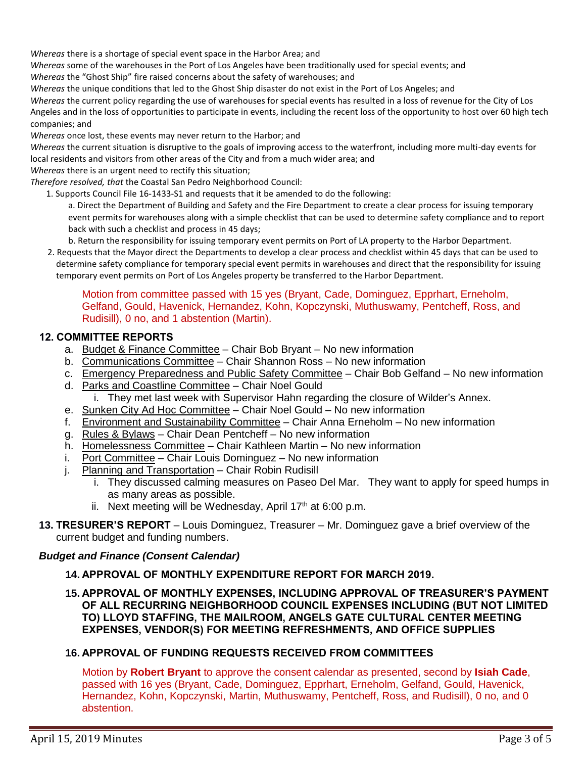*Whereas* there is a shortage of special event space in the Harbor Area; and

*Whereas* some of the warehouses in the Port of Los Angeles have been traditionally used for special events; and

*Whereas* the "Ghost Ship" fire raised concerns about the safety of warehouses; and

*Whereas* the unique conditions that led to the Ghost Ship disaster do not exist in the Port of Los Angeles; and

*Whereas* the current policy regarding the use of warehouses for special events has resulted in a loss of revenue for the City of Los Angeles and in the loss of opportunities to participate in events, including the recent loss of the opportunity to host over 60 high tech companies; and

*Whereas* once lost, these events may never return to the Harbor; and

*Whereas* the current situation is disruptive to the goals of improving access to the waterfront, including more multi-day events for local residents and visitors from other areas of the City and from a much wider area; and

*Whereas* there is an urgent need to rectify this situation;

*Therefore resolved, that* the Coastal San Pedro Neighborhood Council:

1. Supports Council File 16-1433-S1 and requests that it be amended to do the following:

a. Direct the Department of Building and Safety and the Fire Department to create a clear process for issuing temporary event permits for warehouses along with a simple checklist that can be used to determine safety compliance and to report back with such a checklist and process in 45 days;

b. Return the responsibility for issuing temporary event permits on Port of LA property to the Harbor Department.

2. Requests that the Mayor direct the Departments to develop a clear process and checklist within 45 days that can be used to determine safety compliance for temporary special event permits in warehouses and direct that the responsibility for issuing temporary event permits on Port of Los Angeles property be transferred to the Harbor Department.

#### Motion from committee passed with 15 yes (Bryant, Cade, Dominguez, Epprhart, Erneholm, Gelfand, Gould, Havenick, Hernandez, Kohn, Kopczynski, Muthuswamy, Pentcheff, Ross, and Rudisill), 0 no, and 1 abstention (Martin).

## **12. COMMITTEE REPORTS**

- a. Budget & Finance Committee Chair Bob Bryant No new information
- b. Communications Committee Chair Shannon Ross No new information
- c. Emergency Preparedness and Public Safety Committee Chair Bob Gelfand No new information
- d. Parks and Coastline Committee Chair Noel Gould i. They met last week with Supervisor Hahn regarding the closure of Wilder's Annex.
- e. Sunken City Ad Hoc Committee Chair Noel Gould No new information
- f. Environment and Sustainability Committee Chair Anna Erneholm No new information
- g. Rules & Bylaws Chair Dean Pentcheff No new information
- h. Homelessness Committee Chair Kathleen Martin No new information
- i. Port Committee Chair Louis Dominguez No new information
- j. Planning and Transportation Chair Robin Rudisill
	- i. They discussed calming measures on Paseo Del Mar. They want to apply for speed humps in as many areas as possible.
	- ii. Next meeting will be Wednesday, April  $17<sup>th</sup>$  at 6:00 p.m.
- **13. TRESURER'S REPORT** Louis Dominguez, Treasurer Mr. Dominguez gave a brief overview of the current budget and funding numbers.

## *Budget and Finance (Consent Calendar)*

## **14. APPROVAL OF MONTHLY EXPENDITURE REPORT FOR MARCH 2019.**

**15. APPROVAL OF MONTHLY EXPENSES, INCLUDING APPROVAL OF TREASURER'S PAYMENT OF ALL RECURRING NEIGHBORHOOD COUNCIL EXPENSES INCLUDING (BUT NOT LIMITED TO) LLOYD STAFFING, THE MAILROOM, ANGELS GATE CULTURAL CENTER MEETING EXPENSES, VENDOR(S) FOR MEETING REFRESHMENTS, AND OFFICE SUPPLIES**

#### **16. APPROVAL OF FUNDING REQUESTS RECEIVED FROM COMMITTEES**

Motion by **Robert Bryant** to approve the consent calendar as presented, second by **Isiah Cade**, passed with 16 yes (Bryant, Cade, Dominguez, Epprhart, Erneholm, Gelfand, Gould, Havenick, Hernandez, Kohn, Kopczynski, Martin, Muthuswamy, Pentcheff, Ross, and Rudisill), 0 no, and 0 abstention.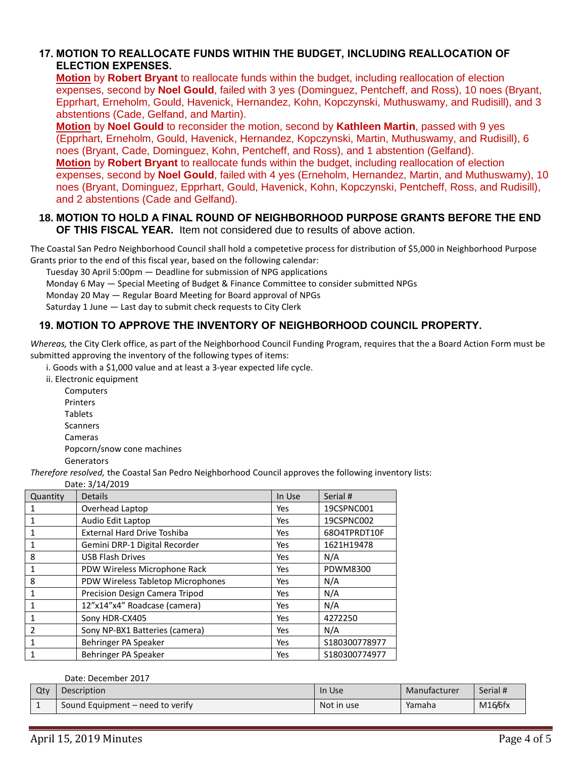## **17. MOTION TO REALLOCATE FUNDS WITHIN THE BUDGET, INCLUDING REALLOCATION OF ELECTION EXPENSES.**

**Motion** by **Robert Bryant** to reallocate funds within the budget, including reallocation of election expenses, second by **Noel Gould**, failed with 3 yes (Dominguez, Pentcheff, and Ross), 10 noes (Bryant, Epprhart, Erneholm, Gould, Havenick, Hernandez, Kohn, Kopczynski, Muthuswamy, and Rudisill), and 3 abstentions (Cade, Gelfand, and Martin).

**Motion** by **Noel Gould** to reconsider the motion, second by **Kathleen Martin**, passed with 9 yes (Epprhart, Erneholm, Gould, Havenick, Hernandez, Kopczynski, Martin, Muthuswamy, and Rudisill), 6 noes (Bryant, Cade, Dominguez, Kohn, Pentcheff, and Ross), and 1 abstention (Gelfand). **Motion** by **Robert Bryant** to reallocate funds within the budget, including reallocation of election expenses, second by **Noel Gould**, failed with 4 yes (Erneholm, Hernandez, Martin, and Muthuswamy), 10 noes (Bryant, Dominguez, Epprhart, Gould, Havenick, Kohn, Kopczynski, Pentcheff, Ross, and Rudisill), and 2 abstentions (Cade and Gelfand).

#### **18. MOTION TO HOLD A FINAL ROUND OF NEIGHBORHOOD PURPOSE GRANTS BEFORE THE END OF THIS FISCAL YEAR.** Item not considered due to results of above action.

The Coastal San Pedro Neighborhood Council shall hold a competetive process for distribution of \$5,000 in Neighborhood Purpose Grants prior to the end of this fiscal year, based on the following calendar:

Tuesday 30 April 5:00pm — Deadline for submission of NPG applications

Monday 6 May — Special Meeting of Budget & Finance Committee to consider submitted NPGs

Monday 20 May — Regular Board Meeting for Board approval of NPGs

Saturday 1 June — Last day to submit check requests to City Clerk

# **19. MOTION TO APPROVE THE INVENTORY OF NEIGHBORHOOD COUNCIL PROPERTY.**

*Whereas,* the City Clerk office, as part of the Neighborhood Council Funding Program, requires that the a Board Action Form must be submitted approving the inventory of the following types of items:

i. Goods with a \$1,000 value and at least a 3-year expected life cycle.

ii. Electronic equipment

**Computers** Printers Tablets Scanners Cameras Popcorn/snow cone machines **Generators** 

*Therefore resolved,* the Coastal San Pedro Neighborhood Council approves the following inventory lists:

Date: 3/14/2019

| Quantity       | DULL, JI 17 LU1J<br><b>Details</b> | In Use | Serial #        |  |  |
|----------------|------------------------------------|--------|-----------------|--|--|
|                | Overhead Laptop                    | Yes    | 19CSPNC001      |  |  |
|                | Audio Edit Laptop                  | Yes    | 19CSPNC002      |  |  |
|                | <b>External Hard Drive Toshiba</b> | Yes    | 68O4TPRDT10F    |  |  |
|                | Gemini DRP-1 Digital Recorder      | Yes    | 1621H19478      |  |  |
| 8              | <b>USB Flash Drives</b>            | Yes    | N/A             |  |  |
|                | PDW Wireless Microphone Rack       | Yes    | <b>PDWM8300</b> |  |  |
| 8              | PDW Wireless Tabletop Microphones  | Yes    | N/A             |  |  |
| 1              | Precision Design Camera Tripod     | Yes    | N/A             |  |  |
|                | 12"x14"x4" Roadcase (camera)       | Yes    | N/A             |  |  |
|                | Sony HDR-CX405                     | Yes    | 4272250         |  |  |
| $\mathfrak{p}$ | Sony NP-BX1 Batteries (camera)     | Yes    | N/A             |  |  |
| 1              | Behringer PA Speaker               | Yes    | S180300778977   |  |  |
|                | Behringer PA Speaker               | Yes    | S180300774977   |  |  |

Date: December 2017

| Qty | Description                      | In Use     | Manufacturer | Serial # |
|-----|----------------------------------|------------|--------------|----------|
|     | Sound Equipment – need to verify | Not in use | Yamaha       | M16/6fx  |